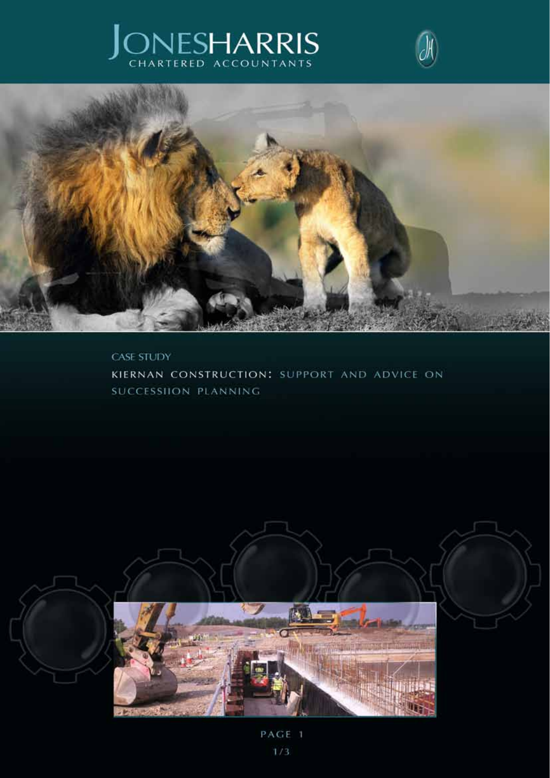# JONESHARRIS



**CASE STUDY** KIERNAN CONSTRUCTION: SUPPORT AND ADVICE ON SUCCESSIION PLANNING

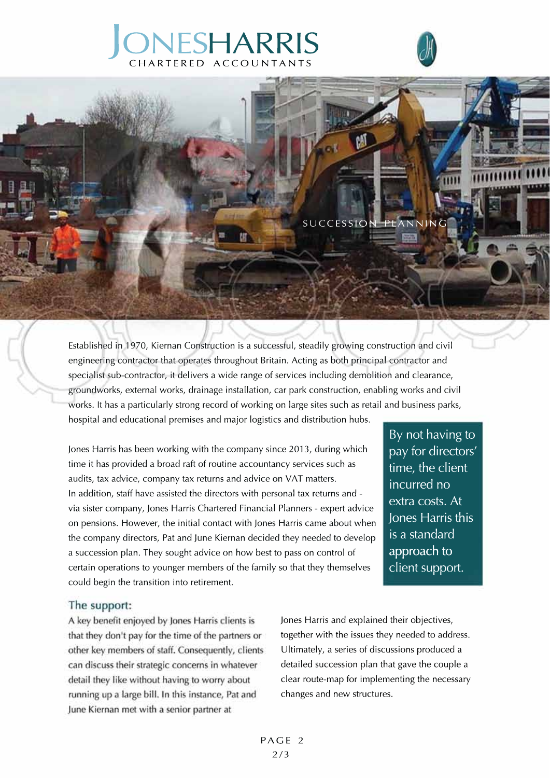## CHARTERED ACCOUNTANTS IESHARRIS





Established in 1970, Kiernan Construction is a successful, steadily growing construction and civil engineering contractor that operates throughout Britain. Acting as both principal contractor and specialist sub-contractor, it delivers a wide range of services including demolition and clearance, groundworks, external works, drainage installation, car park construction, enabling works and civil works. It has a particularly strong record of working on large sites such as retail and business parks, hospital and educational premises and major logistics and distribution hubs.

Jones Harris has been working with the company since 2013, during which time it has provided a broad raft of routine accountancy services such as audits, tax advice, company tax returns and advice on VAT matters. In addition, staff have assisted the directors with personal tax returns and via sister company, Jones Harris Chartered Financial Planners - expert advice on pensions. However, the initial contact with Jones Harris came about when the company directors, Pat and June Kiernan decided they needed to develop a succession plan. They sought advice on how best to pass on control of certain operations to younger members of the family so that they themselves could begin the transition into retirement.

By not having to pay for directors' time, the client incurred no extra costs. At Jones Harris this is a standard approach to client support.

#### The support:

A key benefit enjoyed by Jones Harris clients is that they don't pay for the time of the partners or other key members of staff. Consequently, clients can discuss their strategic concerns in whatever detail they like without having to worry about running up a large bill. In this instance, Pat and June Kiernan met with a senior partner at

Jones Harris and explained their objectives, together with the issues they needed to address. Ultimately, a series of discussions produced a detailed succession plan that gave the couple a clear route-map for implementing the necessary changes and new structures.